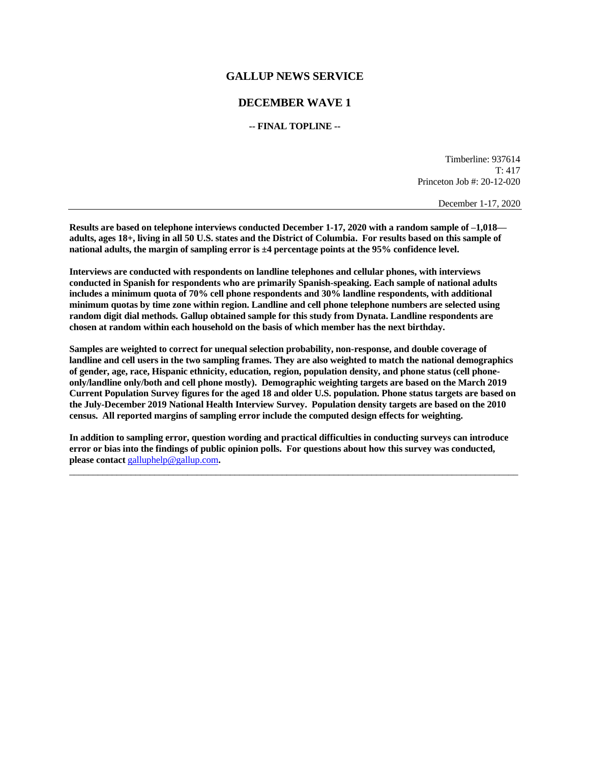## **GALLUP NEWS SERVICE**

## **DECEMBER WAVE 1**

**-- FINAL TOPLINE --**

Timberline: 937614 T: 417 Princeton Job #: 20-12-020

December 1-17, 2020

**Results are based on telephone interviews conducted December 1-17, 2020 with a random sample of –1,018 adults, ages 18+, living in all 50 U.S. states and the District of Columbia. For results based on this sample of national adults, the margin of sampling error is ±4 percentage points at the 95% confidence level.** 

**Interviews are conducted with respondents on landline telephones and cellular phones, with interviews conducted in Spanish for respondents who are primarily Spanish-speaking. Each sample of national adults includes a minimum quota of 70% cell phone respondents and 30% landline respondents, with additional minimum quotas by time zone within region. Landline and cell phone telephone numbers are selected using random digit dial methods. Gallup obtained sample for this study from Dynata. Landline respondents are chosen at random within each household on the basis of which member has the next birthday.**

**Samples are weighted to correct for unequal selection probability, non-response, and double coverage of landline and cell users in the two sampling frames. They are also weighted to match the national demographics of gender, age, race, Hispanic ethnicity, education, region, population density, and phone status (cell phoneonly/landline only/both and cell phone mostly). Demographic weighting targets are based on the March 2019 Current Population Survey figures for the aged 18 and older U.S. population. Phone status targets are based on the July-December 2019 National Health Interview Survey. Population density targets are based on the 2010 census. All reported margins of sampling error include the computed design effects for weighting.** 

**In addition to sampling error, question wording and practical difficulties in conducting surveys can introduce error or bias into the findings of public opinion polls. For questions about how this survey was conducted, please contact** [galluphelp@gallup.com](mailto:galluphelp@gallup.com)**.**

 $\Box$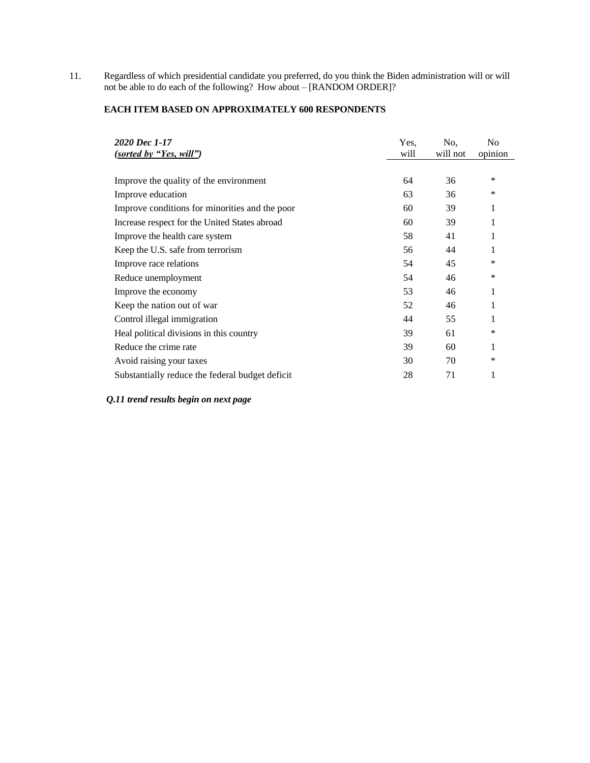11. Regardless of which presidential candidate you preferred, do you think the Biden administration will or will not be able to do each of the following? How about – [RANDOM ORDER]?

## **EACH ITEM BASED ON APPROXIMATELY 600 RESPONDENTS**

| 2020 Dec 1-17<br>(sorted by "Yes, will")        | Yes.<br>will | No.<br>will not | N <sub>0</sub><br>opinion |
|-------------------------------------------------|--------------|-----------------|---------------------------|
|                                                 |              |                 |                           |
| Improve the quality of the environment          | 64           | 36              | *                         |
| Improve education                               | 63           | 36              | *                         |
| Improve conditions for minorities and the poor  | 60           | 39              | 1                         |
| Increase respect for the United States abroad   | 60           | 39              | 1                         |
| Improve the health care system                  | 58           | 41              | 1                         |
| Keep the U.S. safe from terrorism               | 56           | 44              | 1                         |
| Improve race relations                          | 54           | 45              | ∗                         |
| Reduce unemployment                             | 54           | 46              | ∗                         |
| Improve the economy                             | 53           | 46              | 1                         |
| Keep the nation out of war                      | 52           | 46              | 1                         |
| Control illegal immigration                     | 44           | 55              | 1                         |
| Heal political divisions in this country        | 39           | 61              | ∗                         |
| Reduce the crime rate                           | 39           | 60              | 1                         |
| Avoid raising your taxes                        | 30           | 70              | *                         |
| Substantially reduce the federal budget deficit | 28           | 71              | 1                         |

*Q.11 trend results begin on next page*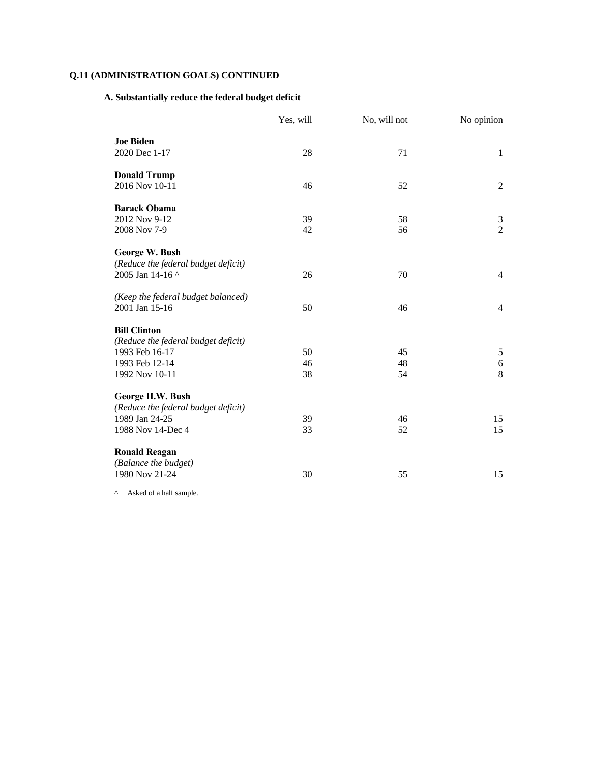## **A. Substantially reduce the federal budget deficit**

|                                                                                                                  | Yes, will      | No, will not   | No opinion                       |
|------------------------------------------------------------------------------------------------------------------|----------------|----------------|----------------------------------|
| <b>Joe Biden</b><br>2020 Dec 1-17                                                                                | 28             | 71             | $\mathbf{1}$                     |
| <b>Donald Trump</b><br>2016 Nov 10-11                                                                            | 46             | 52             | $\mathfrak{2}$                   |
| <b>Barack Obama</b><br>2012 Nov 9-12<br>2008 Nov 7-9                                                             | 39<br>42       | 58<br>56       | $\mathfrak{Z}$<br>$\overline{2}$ |
| George W. Bush<br>(Reduce the federal budget deficit)<br>2005 Jan 14-16 ^                                        | 26             | 70             | $\overline{4}$                   |
| (Keep the federal budget balanced)<br>2001 Jan 15-16                                                             | 50             | 46             | $\overline{4}$                   |
| <b>Bill Clinton</b><br>(Reduce the federal budget deficit)<br>1993 Feb 16-17<br>1993 Feb 12-14<br>1992 Nov 10-11 | 50<br>46<br>38 | 45<br>48<br>54 | $\sqrt{5}$<br>$\sqrt{6}$<br>8    |
| George H.W. Bush<br>(Reduce the federal budget deficit)<br>1989 Jan 24-25<br>1988 Nov 14-Dec 4                   | 39<br>33       | 46<br>52       | 15<br>15                         |
| <b>Ronald Reagan</b><br>(Balance the budget)<br>1980 Nov 21-24                                                   | 30             | 55             | 15                               |

 $\wedge$  Asked of a half sample.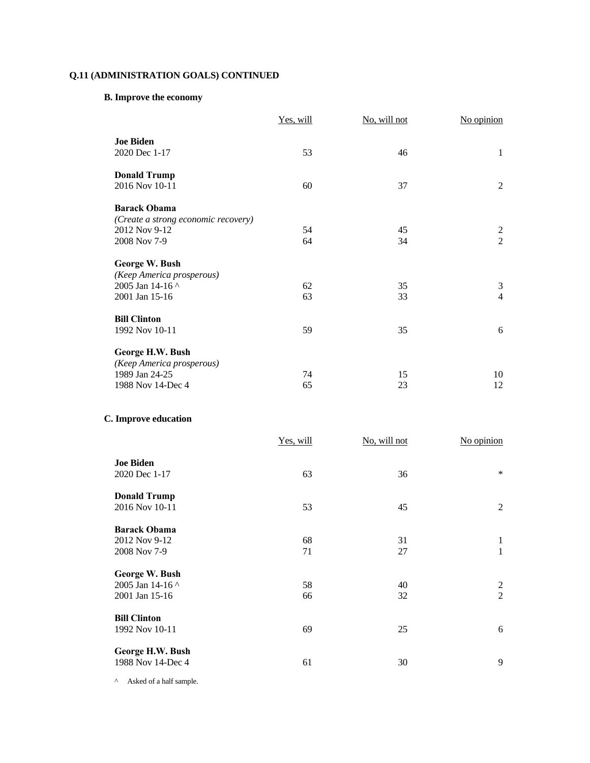# **B. Improve the economy**

|                                     | Yes, will | No, will not | No opinion     |
|-------------------------------------|-----------|--------------|----------------|
| <b>Joe Biden</b>                    |           |              |                |
| 2020 Dec 1-17                       | 53        | 46           | 1              |
| <b>Donald Trump</b>                 |           |              |                |
| 2016 Nov 10-11                      | 60        | 37           | $\overline{2}$ |
| <b>Barack Obama</b>                 |           |              |                |
| (Create a strong economic recovery) |           |              |                |
| 2012 Nov 9-12                       | 54        | 45           | $\overline{c}$ |
| 2008 Nov 7-9                        | 64        | 34           | $\overline{2}$ |
| George W. Bush                      |           |              |                |
| (Keep America prosperous)           |           |              |                |
| 2005 Jan 14-16 ^                    | 62        | 35           | 3              |
| 2001 Jan 15-16                      | 63        | 33           | $\overline{4}$ |
| <b>Bill Clinton</b>                 |           |              |                |
| 1992 Nov 10-11                      | 59        | 35           | 6              |
| George H.W. Bush                    |           |              |                |
| (Keep America prosperous)           |           |              |                |
| 1989 Jan 24-25                      | 74        | 15           | 10             |
| 1988 Nov 14-Dec 4                   | 65        | 23           | 12             |
|                                     |           |              |                |

## **C. Improve education**

|                                                      | Yes, will | No, will not | No opinion          |
|------------------------------------------------------|-----------|--------------|---------------------|
| <b>Joe Biden</b><br>2020 Dec 1-17                    | 63        | 36           | $\ast$              |
| <b>Donald Trump</b><br>2016 Nov 10-11                | 53        | 45           | 2                   |
| <b>Barack Obama</b><br>2012 Nov 9-12<br>2008 Nov 7-9 | 68<br>71  | 31<br>27     | $\mathbf{1}$<br>1   |
| George W. Bush<br>2005 Jan 14-16 ^<br>2001 Jan 15-16 | 58<br>66  | 40<br>32     | 2<br>$\overline{2}$ |
| <b>Bill Clinton</b><br>1992 Nov 10-11                | 69        | 25           | 6                   |
| George H.W. Bush<br>1988 Nov 14-Dec 4                | 61        | 30           | 9                   |

^ Asked of a half sample.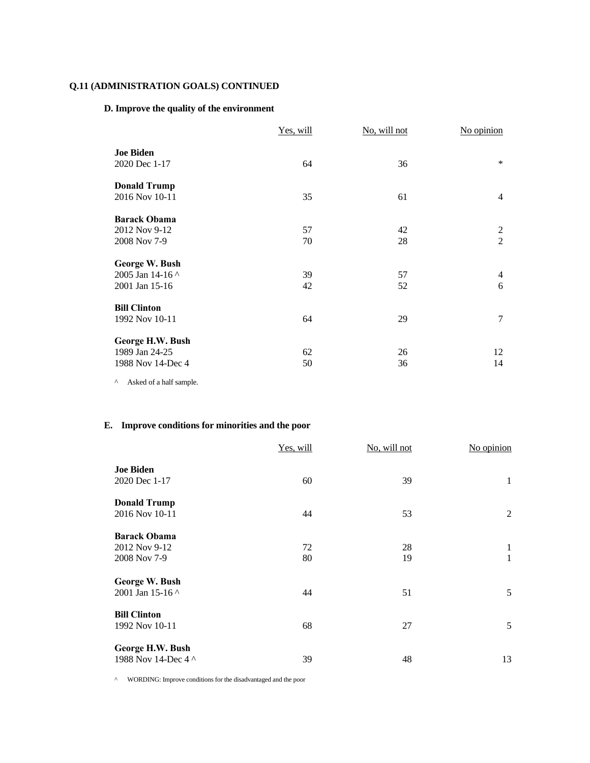## **D. Improve the quality of the environment**

|                                                         | Yes, will | No, will not | No opinion                       |
|---------------------------------------------------------|-----------|--------------|----------------------------------|
| <b>Joe Biden</b><br>2020 Dec 1-17                       | 64        | 36           | $\ast$                           |
| <b>Donald Trump</b><br>2016 Nov 10-11                   | 35        | 61           | $\overline{4}$                   |
| <b>Barack Obama</b><br>2012 Nov 9-12<br>2008 Nov 7-9    | 57<br>70  | 42<br>28     | $\overline{2}$<br>$\overline{2}$ |
| George W. Bush<br>2005 Jan 14-16 ^<br>2001 Jan 15-16    | 39<br>42  | 57<br>52     | $\overline{4}$<br>6              |
| <b>Bill Clinton</b><br>1992 Nov 10-11                   | 64        | 29           | $\tau$                           |
| George H.W. Bush<br>1989 Jan 24-25<br>1988 Nov 14-Dec 4 | 62<br>50  | 26<br>36     | 12<br>14                         |

^ Asked of a half sample.

## **E. Improve conditions for minorities and the poor**

|                                                      | Yes, will | No, will not | No opinion |
|------------------------------------------------------|-----------|--------------|------------|
| <b>Joe Biden</b><br>2020 Dec 1-17                    | 60        | 39           | 1          |
| <b>Donald Trump</b><br>2016 Nov 10-11                | 44        | 53           | 2          |
| <b>Barack Obama</b><br>2012 Nov 9-12<br>2008 Nov 7-9 | 72<br>80  | 28<br>19     | 1<br>1     |
| George W. Bush<br>2001 Jan 15-16 ^                   | 44        | 51           | 5          |
| <b>Bill Clinton</b><br>1992 Nov 10-11                | 68        | 27           | 5          |
| George H.W. Bush<br>1988 Nov 14-Dec 4 ^              | 39        | 48           | 13         |

^ WORDING: Improve conditions for the disadvantaged and the poor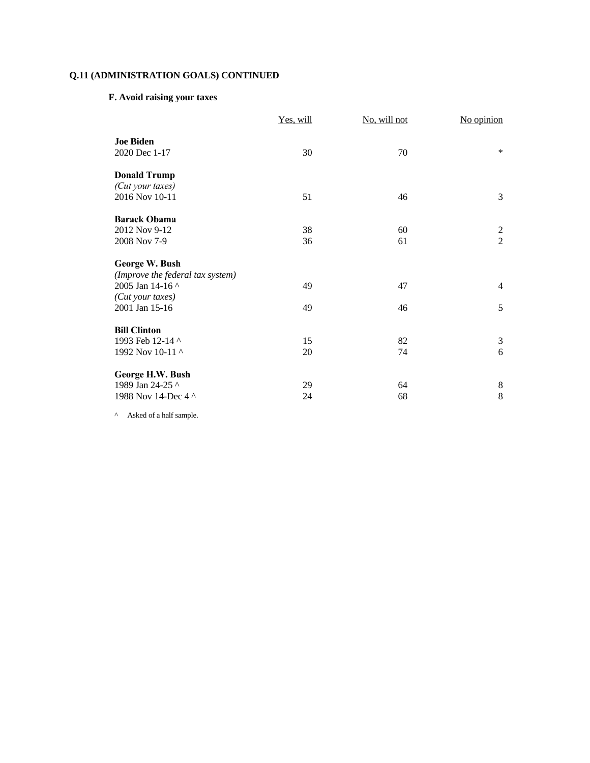## **F. Avoid raising your taxes**

|                                   | Yes, will | No, will not | No opinion     |
|-----------------------------------|-----------|--------------|----------------|
| <b>Joe Biden</b><br>2020 Dec 1-17 | 30        | 70           | $\ast$         |
| <b>Donald Trump</b>               |           |              |                |
| (Cut your taxes)                  |           |              |                |
| 2016 Nov 10-11                    | 51        | 46           | 3              |
| <b>Barack Obama</b>               |           |              |                |
| 2012 Nov 9-12                     | 38        | 60           |                |
| 2008 Nov 7-9                      | 36        | 61           | $\frac{2}{2}$  |
| George W. Bush                    |           |              |                |
| (Improve the federal tax system)  |           |              |                |
| 2005 Jan 14-16 ^                  | 49        | 47           | $\overline{4}$ |
| (Cut your taxes)                  |           |              |                |
| 2001 Jan 15-16                    | 49        | 46           | 5              |
| <b>Bill Clinton</b>               |           |              |                |
| 1993 Feb 12-14 ^                  | 15        | 82           | 3              |
| 1992 Nov 10-11 ^                  | 20        | 74           | 6              |
| George H.W. Bush                  |           |              |                |
| 1989 Jan 24-25 ^                  | 29        | 64           | $8\,$          |
| 1988 Nov 14-Dec 4 ^               | 24        | 68           | 8              |
|                                   |           |              |                |

^ Asked of a half sample.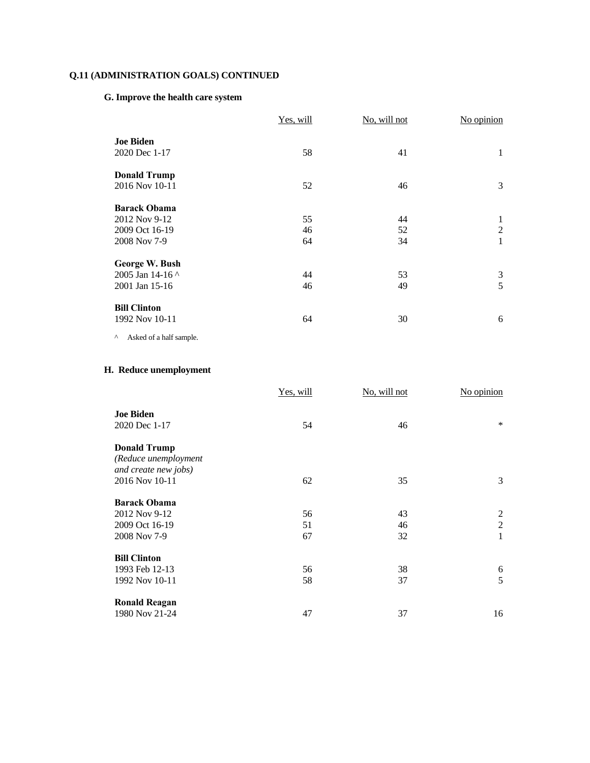# **G. Improve the health care system**

|                                                                        | Yes, will      | No, will not   | No opinion               |
|------------------------------------------------------------------------|----------------|----------------|--------------------------|
| <b>Joe Biden</b><br>2020 Dec 1-17                                      | 58             | 41             | $\mathbf{1}$             |
| <b>Donald Trump</b><br>2016 Nov 10-11                                  | 52             | 46             | 3                        |
| <b>Barack Obama</b><br>2012 Nov 9-12<br>2009 Oct 16-19<br>2008 Nov 7-9 | 55<br>46<br>64 | 44<br>52<br>34 | 1<br>$\overline{2}$<br>1 |
| George W. Bush<br>2005 Jan 14-16 ^<br>2001 Jan 15-16                   | 44<br>46       | 53<br>49       | 3<br>5                   |
| <b>Bill Clinton</b><br>1992 Nov 10-11<br>Asked of a half sample.<br>Λ  | 64             | 30             | 6                        |

# **H. Reduce unemployment**

|                                                                     | Yes, will | No, will not | No opinion     |
|---------------------------------------------------------------------|-----------|--------------|----------------|
| <b>Joe Biden</b><br>2020 Dec 1-17                                   | 54        | 46           | $\ast$         |
| <b>Donald Trump</b><br>(Reduce unemployment<br>and create new jobs) |           |              |                |
| 2016 Nov 10-11                                                      | 62        | 35           | 3              |
| <b>Barack Obama</b>                                                 |           |              |                |
| 2012 Nov 9-12                                                       | 56        | 43           | 2              |
| 2009 Oct 16-19                                                      | 51        | 46           | $\mathfrak{2}$ |
| 2008 Nov 7-9                                                        | 67        | 32           | $\mathbf{1}$   |
| <b>Bill Clinton</b>                                                 |           |              |                |
| 1993 Feb 12-13                                                      | 56        | 38           | 6              |
| 1992 Nov 10-11                                                      | 58        | 37           | 5              |
| <b>Ronald Reagan</b>                                                |           |              |                |
| 1980 Nov 21-24                                                      | 47        | 37           | 16             |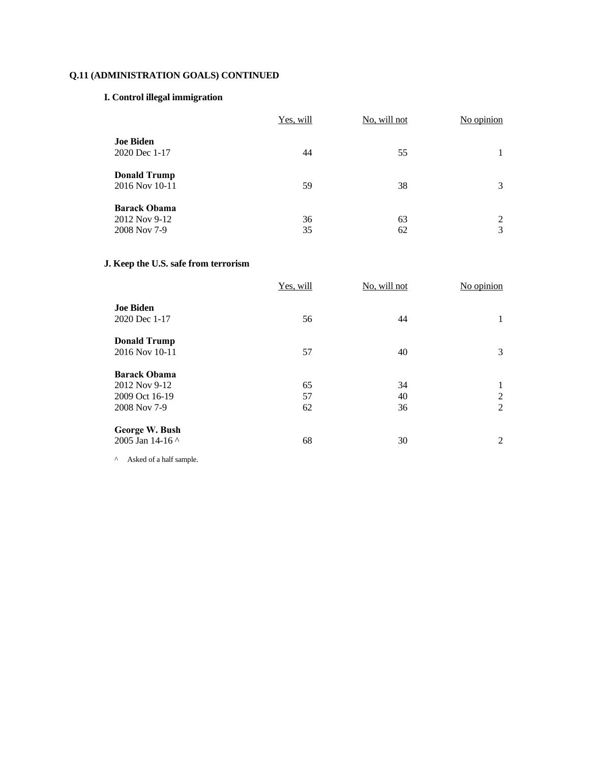## **I. Control illegal immigration**

|                                                      | Yes, will | No, will not | No opinion |
|------------------------------------------------------|-----------|--------------|------------|
| <b>Joe Biden</b><br>2020 Dec 1-17                    | 44        | 55           |            |
| <b>Donald Trump</b><br>2016 Nov 10-11                | 59        | 38           | 3          |
| <b>Barack Obama</b><br>2012 Nov 9-12<br>2008 Nov 7-9 | 36<br>35  | 63<br>62     | 2<br>3     |

# **J. Keep the U.S. safe from terrorism**

|                     | Yes, will | No, will not | No opinion |
|---------------------|-----------|--------------|------------|
| <b>Joe Biden</b>    |           |              |            |
| 2020 Dec 1-17       | 56        | 44           | 1          |
| <b>Donald Trump</b> |           |              |            |
| 2016 Nov 10-11      | 57        | 40           | 3          |
| <b>Barack Obama</b> |           |              |            |
| 2012 Nov 9-12       | 65        | 34           | 1          |
| 2009 Oct 16-19      | 57        | 40           | 2          |
| 2008 Nov 7-9        | 62        | 36           | 2          |
| George W. Bush      |           |              |            |
| 2005 Jan 14-16 ^    | 68        | 30           | 2          |

 $\wedge$  Asked of a half sample.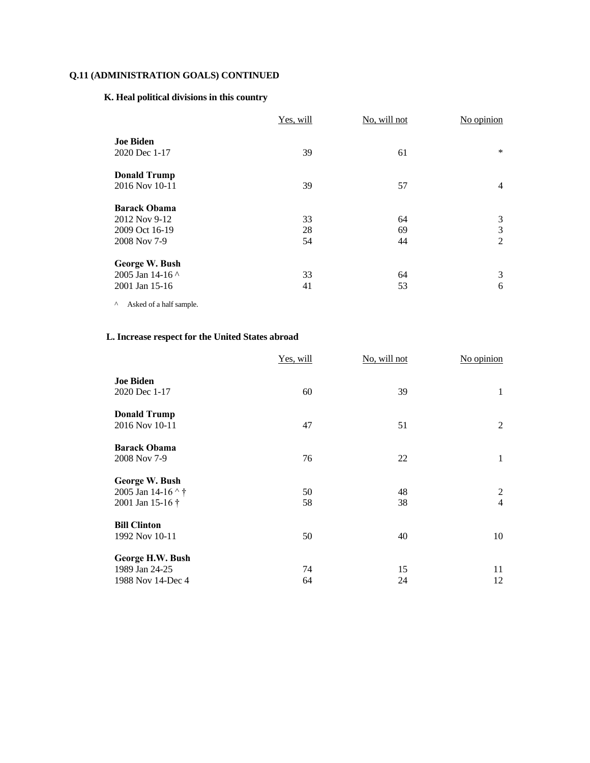## **K. Heal political divisions in this country**

|                     | Yes, will | No, will not | No opinion     |
|---------------------|-----------|--------------|----------------|
| <b>Joe Biden</b>    |           |              |                |
| 2020 Dec 1-17       | 39        | 61           | $\ast$         |
| <b>Donald Trump</b> |           |              |                |
| 2016 Nov 10-11      | 39        | 57           | $\overline{4}$ |
| <b>Barack Obama</b> |           |              |                |
| 2012 Nov 9-12       | 33        | 64           | 3              |
| 2009 Oct 16-19      | 28        | 69           | 3              |
| 2008 Nov 7-9        | 54        | 44           | 2              |
| George W. Bush      |           |              |                |
| 2005 Jan 14-16 ^    | 33        | 64           | 3              |
| 2001 Jan 15-16      | 41        | 53           | 6              |

 $^\wedge$  Asked of a half sample.

# **L. Increase respect for the United States abroad**

| Yes, will | No, will not | No opinion     |
|-----------|--------------|----------------|
| 60        | 39           | 1              |
| 47        | 51           | 2              |
| 76        | 22           | 1              |
|           |              |                |
| 50        | 48           | 2              |
| 58        | 38           | $\overline{4}$ |
|           |              |                |
| 50        | 40           | 10             |
|           |              |                |
|           | 15           | 11             |
| 64        | 24           | 12             |
|           | 74           |                |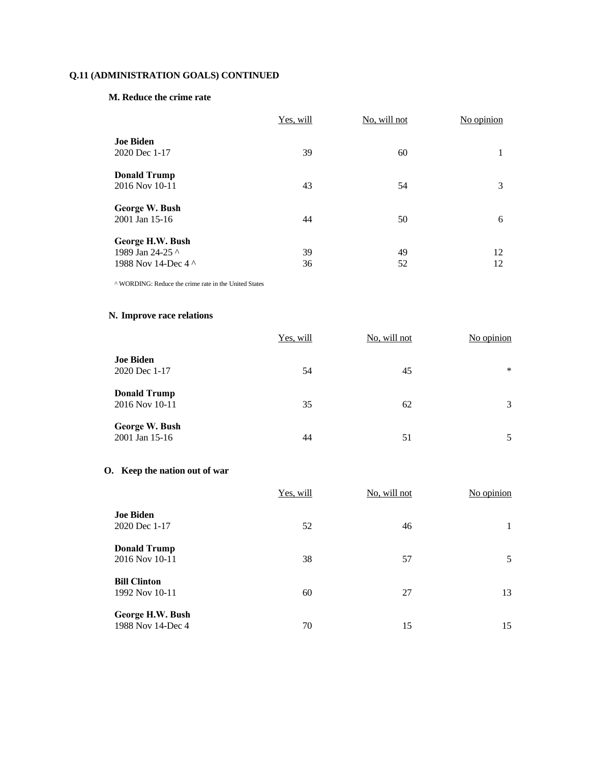### **M. Reduce the crime rate**

|                                                             | Yes, will | No, will not | No opinion |
|-------------------------------------------------------------|-----------|--------------|------------|
| <b>Joe Biden</b><br>2020 Dec 1-17                           | 39        | 60           | 1          |
| <b>Donald Trump</b><br>2016 Nov 10-11                       | 43        | 54           | 3          |
| George W. Bush<br>2001 Jan 15-16                            | 44        | 50           | 6          |
| George H.W. Bush<br>1989 Jan 24-25 ^<br>1988 Nov 14-Dec 4 ^ | 39<br>36  | 49<br>52     | 12<br>12   |

^ WORDING: Reduce the crime rate in the United States

# **N. Improve race relations**

|                                       | Yes, will | No, will not | No opinion |
|---------------------------------------|-----------|--------------|------------|
| <b>Joe Biden</b><br>2020 Dec 1-17     | 54        | 45           | $\ast$     |
| <b>Donald Trump</b><br>2016 Nov 10-11 | 35        | 62           | 3          |
| George W. Bush<br>2001 Jan 15-16      | 44        | 51           | 5          |

# **O. Keep the nation out of war**

|                                       | Yes, will | No, will not | No opinion |
|---------------------------------------|-----------|--------------|------------|
| <b>Joe Biden</b><br>2020 Dec 1-17     | 52        | 46           |            |
| <b>Donald Trump</b><br>2016 Nov 10-11 | 38        | 57           | 5          |
| <b>Bill Clinton</b><br>1992 Nov 10-11 | 60        | 27           | 13         |
| George H.W. Bush<br>1988 Nov 14-Dec 4 | 70        | 15           | 15         |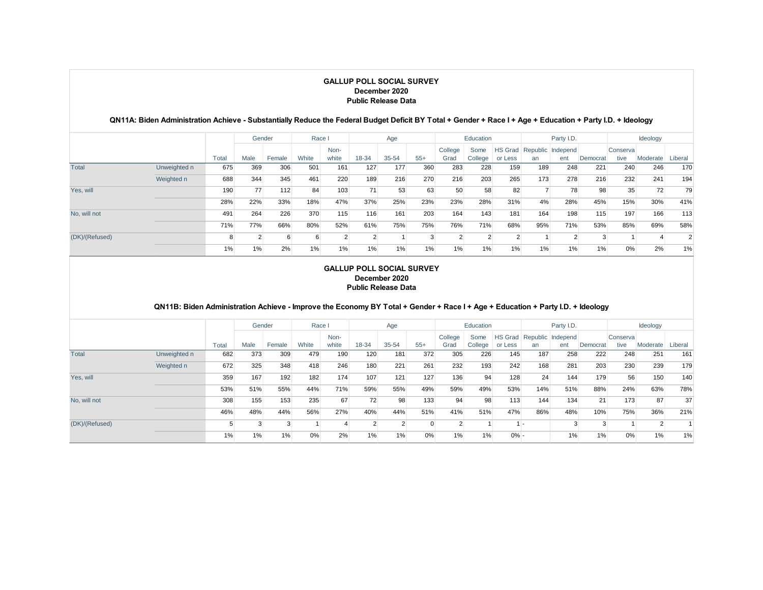### **QN11A: Biden Administration Achieve - Substantially Reduce the Federal Budget Deficit BY Total + Gender + Race I + Age + Education + Party I.D. + Ideology**

|                |              |       | Gender         |        | Race I |          |       | Age       |       |         | Education      |         |     | Party I.D.                |          |          | Ideology |                |
|----------------|--------------|-------|----------------|--------|--------|----------|-------|-----------|-------|---------|----------------|---------|-----|---------------------------|----------|----------|----------|----------------|
|                |              |       |                |        |        | Non-     |       |           |       | College | Some           |         |     | HS Grad Republic Independ |          | Conserva |          |                |
|                |              | Total | Male           | Female | White  | white    | 18-34 | $35 - 54$ | $55+$ | Grad    | College        | or Less | an  | ent                       | Democrat | tive     | Moderate | Liberal        |
| Total          | Unweighted n | 675   | 369            | 306    | 501    | 161      | 127   | 177       | 360   | 283     | 228            | 159     | 189 | 248                       | 221      | 240      | 246      | 170            |
|                | Weighted n   | 688   | 344            | 345    | 461    | 220      | 189   | 216       | 270   | 216     | 203            | 265     | 173 | 278                       | 216      | 232      | 241      | 194            |
| Yes, will      |              | 190   | 77             | 112    | 84     | 103      | 71    | 53        | 63    | 50      | 58             | 82      |     | 78                        | 98       | 35       | 72       | 79             |
|                |              | 28%   | 22%            | 33%    | 18%    | 47%      | 37%   | 25%       | 23%   | 23%     | 28%            | 31%     | 4%  | 28%                       | 45%      | 15%      | 30%      | 41%            |
| No, will not   |              | 491   | 264            | 226    | 370    | 115      | 116   | 161       | 203   | 164     | 143            | 181     | 164 | 198                       | 115      | 197      | 166      | 113            |
|                |              | 71%   | 77%            | 66%    | 80%    | 52%      | 61%   | 75%       | 75%   | 76%     | 71%            | 68%     | 95% | 71%                       | 53%      | 85%      | 69%      | 58%            |
| (DK)/(Refused) |              | 8     | $\overline{2}$ | 6      | 6      | $\Omega$ | 2     |           | 3     |         | $\overline{2}$ |         |     | $\overline{2}$            | 3        |          |          | $\overline{2}$ |
|                |              | 1%    | 1%             | 2%     | 1%     | 1%       | 1%    | 1%        | 1%    | 1%      | 1%             | 1%      | 1%  | $1\%$                     | 1%       | 0%       | 2%       | 1%             |

#### **GALLUP POLL SOCIAL SURVEY December 2020 Public Release Data**

### **QN11B: Biden Administration Achieve - Improve the Economy BY Total + Gender + Race I + Age + Education + Party I.D. + Ideology**

|                |              |       |      | Gender | Race I |       |                | Age       |          |         | Education |         |     | Party I.D.                |          |          | Ideology |         |
|----------------|--------------|-------|------|--------|--------|-------|----------------|-----------|----------|---------|-----------|---------|-----|---------------------------|----------|----------|----------|---------|
|                |              |       |      |        |        | Non-  |                |           |          | College | Some      |         |     | HS Grad Republic Independ |          | Conserva |          |         |
|                |              | Total | Male | Female | White  | white | 18-34          | $35 - 54$ | $55+$    | Grad    | College   | or Less | an  | ent                       | Democrat | tive     | Moderate | Liberal |
| Total          | Unweighted n | 682   | 373  | 309    | 479    | 190   | 120            | 181       | 372      | 305     | 226       | 145     | 187 | 258                       | 222      | 248      | 251      | 161     |
|                | Weighted n   | 672   | 325  | 348    | 418    | 246   | 180            | 221       | 261      | 232     | 193       | 242     | 168 | 281                       | 203      | 230      | 239      | 179     |
| Yes, will      |              | 359   | 167  | 192    | 182    | 174   | 107            | 121       | 127      | 136     | 94        | 128     | 24  | 144                       | 179      | 56       | 150      | 140     |
|                |              | 53%   | 51%  | 55%    | 44%    | 71%   | 59%            | 55%       | 49%      | 59%     | 49%       | 53%     | 14% | 51%                       | 88%      | 24%      | 63%      | 78%     |
| No. will not   |              | 308   | 155  | 153    | 235    | 67    | 72             | 98        | 133      | 94      | 98        | 113     | 144 | 134                       | 21       | 173      | 87       | 37      |
|                |              | 46%   | 48%  | 44%    | 56%    | 27%   | 40%            | 44%       | 51%      | 41%     | 51%       | 47%     | 86% | 48%                       | 10%      | 75%      | 36%      | 21%     |
| (DK)/(Refused) |              |       |      | 3      |        |       | $\overline{2}$ |           | $\Omega$ |         |           |         | . . | 3                         | 3        |          |          |         |
|                |              | 1%    | 1%   | $1\%$  | 0%     | 2%    | 1%             | $1\%$     | 0%       | 1%      | 1%        | $0\%$ - |     | 1%                        | 1%       | 0%       | 1%       | 1%      |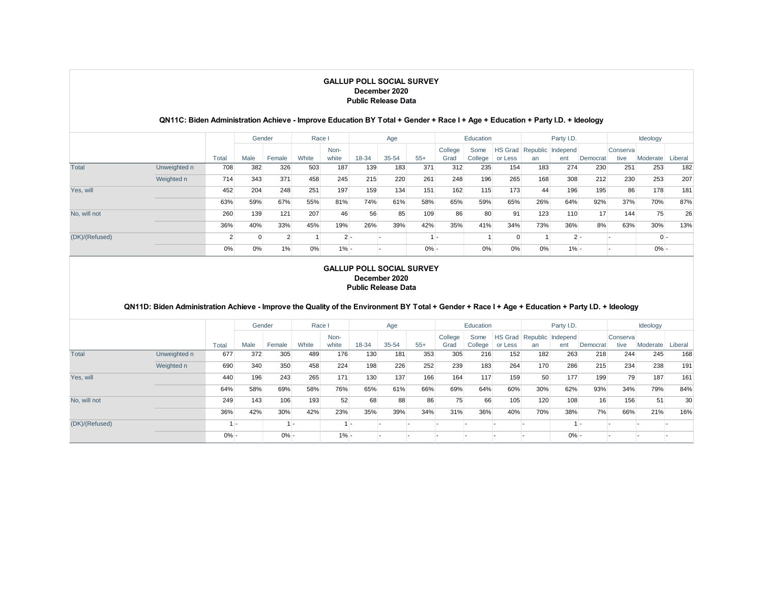#### **QN11C: Biden Administration Achieve - Improve Education BY Total + Gender + Race I + Age + Education + Party I.D. + Ideology**

|                |              |       | Gender |                | Race I |         |       | Age       |         |         | Education |          |     | Party I.D.                       |                 |          | Ideology |         |
|----------------|--------------|-------|--------|----------------|--------|---------|-------|-----------|---------|---------|-----------|----------|-----|----------------------------------|-----------------|----------|----------|---------|
|                |              |       |        |                |        | Non-    |       |           |         | College | Some      |          |     | <b>HS Grad Republic Independ</b> |                 | Conserva |          |         |
|                |              | Total | Male   | Female         | White  | white   | 18-34 | $35 - 54$ | $55+$   | Grad    | College   | or Less  | an  | ent                              | Democrat        | tive     | Moderate | Liberal |
| Total          | Unweighted n | 708   | 382    | 326            | 503    | 187     | 139   | 183       | 371     | 312     | 235       | 154      | 183 | 274                              | 230             | 251      | 253      | 182     |
|                | Weighted n   | 714   | 343    | 371            | 458    | 245     | 215   | 220       | 261     | 248     | 196       | 265      | 168 | 308                              | 212             | 230      | 253      | 207     |
| Yes, will      |              | 452   | 204    | 248            | 251    | 197     | 159   | 134       | 151     | 162     | 115       | 173      | 44  | 196                              | 195             | 86       | 178      | 181     |
|                |              | 63%   | 59%    | 67%            | 55%    | 81%     | 74%   | 61%       | 58%     | 65%     | 59%       | 65%      | 26% | 64%                              | 92%             | 37%      | 70%      | 87%     |
| No. will not   |              | 260   | 139    | 121            | 207    | 46      | 56    | 85        | 109     | 86      | 80        | 91       | 123 | 110                              | 17 <sup>1</sup> | 144      | 75       | 26      |
|                |              | 36%   | 40%    | 33%            | 45%    | 19%     | 26%   | 39%       | 42%     | 35%     | 41%       | 34%      | 73% | 36%                              | 8%              | 63%      | 30%      | 13%     |
| (DK)/(Refused) |              |       |        | $\overline{2}$ |        | $2 -$   |       |           |         | . .     |           | $\Omega$ |     | $2 -$                            |                 |          | $0 -$    |         |
|                |              | 0%    | 0%     | 1%             | 0%     | $1\% -$ |       |           | $0\% -$ |         | 0%        | 0%       | 0%  | $1% -$                           |                 |          | $0\% -$  |         |

#### **GALLUP POLL SOCIAL SURVEY December 2020 Public Release Data**

### **QN11D: Biden Administration Achieve - Improve the Quality of the Environment BY Total + Gender + Race I + Age + Education + Party I.D. + Ideology**

|                |              |         | Gender |         | Race I         |        |       | Age       |       |         | Education |         |     | Party I.D.                |          |          | Ideology |         |
|----------------|--------------|---------|--------|---------|----------------|--------|-------|-----------|-------|---------|-----------|---------|-----|---------------------------|----------|----------|----------|---------|
|                |              |         |        |         |                | Non-   |       |           |       | College | Some      |         |     | HS Grad Republic Independ |          | Conserva |          |         |
|                |              | Total   | Male   | Female  | White          | white  | 18-34 | $35 - 54$ | $55+$ | Grad    | College   | or Less | an  | ent                       | Democrat | tive     | Moderate | Liberal |
| Total          | Unweighted n | 677     | 372    | 305     | 489            | 176    | 130   | 181       | 353   | 305     | 216       | 152     | 182 | 263                       | 218      | 244      | 245      | 168     |
|                | Weighted n   | 690     | 340    | 350     | 458            | 224    | 198   | 226       | 252   | 239     | 183       | 264     | 170 | 286                       | 215      | 234      | 238      | 191     |
| Yes, will      |              | 440     | 196    | 243     | 265            | 171    | 130   | 137       | 166   | 164     | 117       | 159     | 50  | 177                       | 199      | 79       | 187      | 161     |
|                |              | 64%     | 58%    | 69%     | 58%            | 76%    | 65%   | 61%       | 66%   | 69%     | 64%       | 60%     | 30% | 62%                       | 93%      | 34%      | 79%      | 84%     |
| No. will not   |              | 249     | 143    | 106     | 193            | 52     | 68    | 88        | 86    | 75      | 66        | 105     | 120 | 108                       | 16       | 156      | 51       | 30      |
|                |              | 36%     | 42%    | 30%     | 42%            | 23%    | 35%   | 39%       | 34%   | 31%     | 36%       | 40%     | 70% | 38%                       | 7%       | 66%      | 21%      | 16%     |
| (DK)/(Refused) |              |         |        |         | $\overline{a}$ | $1 -$  |       |           |       |         |           |         |     |                           | ٠.       |          |          |         |
|                |              | $0\% -$ |        | $0\% -$ |                | $1% -$ |       |           |       |         |           |         |     | $0\%$ .                   |          |          |          |         |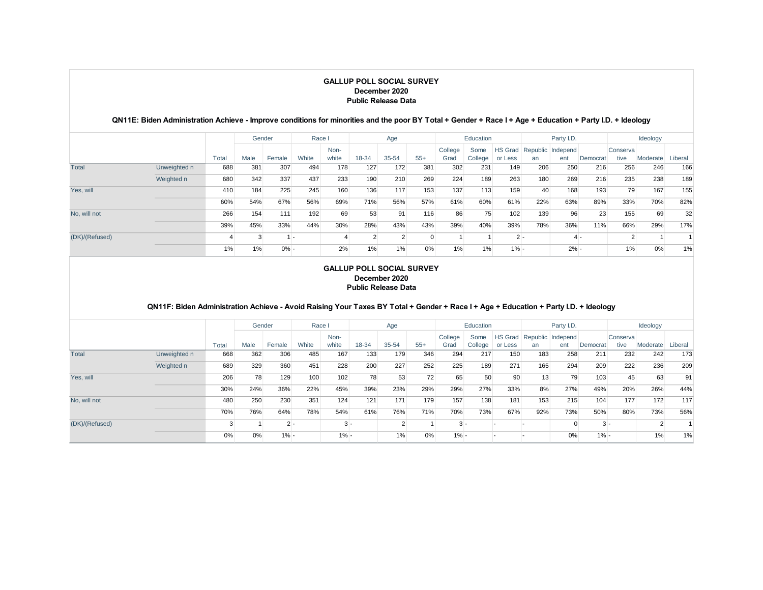## **QN11E: Biden Administration Achieve - Improve conditions for minorities and the poor BY Total + Gender + Race I + Age + Education + Party I.D. + Ideology**

|                |              |       | Gender |         | Race I |       |       | Age            |       |         | Education |         |       | Party I.D.                |          |          | Ideology |         |
|----------------|--------------|-------|--------|---------|--------|-------|-------|----------------|-------|---------|-----------|---------|-------|---------------------------|----------|----------|----------|---------|
|                |              |       |        |         |        | Non-  |       |                |       | College | Some      |         |       | HS Grad Republic Independ |          | Conserva |          |         |
|                |              | Total | Male   | Female  | White  | white | 18-34 | $35 - 54$      | $55+$ | Grad    | College   | or Less | an    | ent                       | Democrat | tive     | Moderate | Liberal |
| Total          | Unweighted n | 688   | 381    | 307     | 494    | 178   | 127   | 172            | 381   | 302     | 231       | 149     | 206   | 250                       | 216      | 256      | 246      | 166     |
|                | Weighted n   | 680   | 342    | 337     | 437    | 233   | 190   | 210            | 269   | 224     | 189       | 263     | 180   | 269                       | 216      | 235      | 238      | 189     |
| Yes, will      |              | 410   | 184    | 225     | 245    | 160   | 136   | 117            | 153   | 137     | 113       | 159     | 40    | 168                       | 193      | 79       | 167      | 155     |
|                |              | 60%   | 54%    | 67%     | 56%    | 69%   | 71%   | 56%            | 57%   | 61%     | 60%       | 61%     | 22%   | 63%                       | 89%      | 33%      | 70%      | 82%     |
| No. will not   |              | 266   | 154    | 111     | 192    | 69    | 53    | 91             | 116   | 86      | 75        | 102     | 139   | 96                        | 23       | 155      | 69       | 32      |
|                |              | 39%   | 45%    | 33%     | 44%    | 30%   | 28%   | 43%            | 43%   | 39%     | 40%       | 39%     | 78%   | 36%                       | 11%      | 66%      | 29%      | 17%     |
| (DK)/(Refused) |              |       | 3      |         |        |       | 2     | $\overline{2}$ |       |         |           |         | $2 -$ | $4 -$                     |          |          |          |         |
|                |              | 1%    | 1%     | $0\% -$ |        | 2%    | 1%    | 1%             | 0%    | 1%      | 1%        | $1\% -$ |       | $2% -$                    |          | 1%       | 0%       | 1%      |

#### **GALLUP POLL SOCIAL SURVEY December 2020 Public Release Data**

### **QN11F: Biden Administration Achieve - Avoid Raising Your Taxes BY Total + Gender + Race I + Age + Education + Party I.D. + Ideology**

|                |              |       |      | Gender | Race I |        |       | Age       |       |         | Education |         |     | Party I.D.                |          |          | Ideology |         |
|----------------|--------------|-------|------|--------|--------|--------|-------|-----------|-------|---------|-----------|---------|-----|---------------------------|----------|----------|----------|---------|
|                |              |       |      |        |        | Non-   |       |           |       | College | Some      |         |     | HS Grad Republic Independ |          | Conserva |          |         |
|                |              | Total | Male | Female | White  | white  | 18-34 | $35 - 54$ | $55+$ | Grad    | College   | or Less | an  | ent                       | Democrat | tive     | Moderate | Liberal |
| Total          | Unweighted n | 668   | 362  | 306    | 485    | 167    | 133   | 179       | 346   | 294     | 217       | 150     | 183 | 258                       | 211      | 232      | 242      | 173     |
|                | Weighted n   | 689   | 329  | 360    | 451    | 228    | 200   | 227       | 252   | 225     | 189       | 271     | 165 | 294                       | 209      | 222      | 236      | 209     |
| Yes, will      |              | 206   | 78   | 129    | 100    | 102    | 78    | 53        | 72    | 65      | 50        | 90      | 13  | 79                        | 103      | 45       | 63       | 91      |
|                |              | 30%   | 24%  | 36%    | 22%    | 45%    | 39%   | 23%       | 29%   | 29%     | 27%       | 33%     | 8%  | 27%                       | 49%      | 20%      | 26%      | 44%     |
| No. will not   |              | 480   | 250  | 230    | 351    | 124    | 121   | 171       | 179   | 157     | 138       | 181     | 153 | 215                       | 104      | 177      | 172      | 117     |
|                |              | 70%   | 76%  | 64%    | 78%    | 54%    | 61%   | 76%       | 71%   | 70%     | 73%       | 67%     | 92% | 73%                       | 50%      | 80%      | 73%      | 56%     |
| (DK)/(Refused) |              |       |      | $2 -$  |        | $3 -$  |       |           |       | $3 -$   |           |         |     | $\Omega$                  | $3 -$    |          |          |         |
|                |              | 0%    | 0%   | $1% -$ |        | $1% -$ |       | 1%        | 0%    | $1\% -$ |           |         |     | 0%                        | $1\% -$  |          | 1%       | 1%      |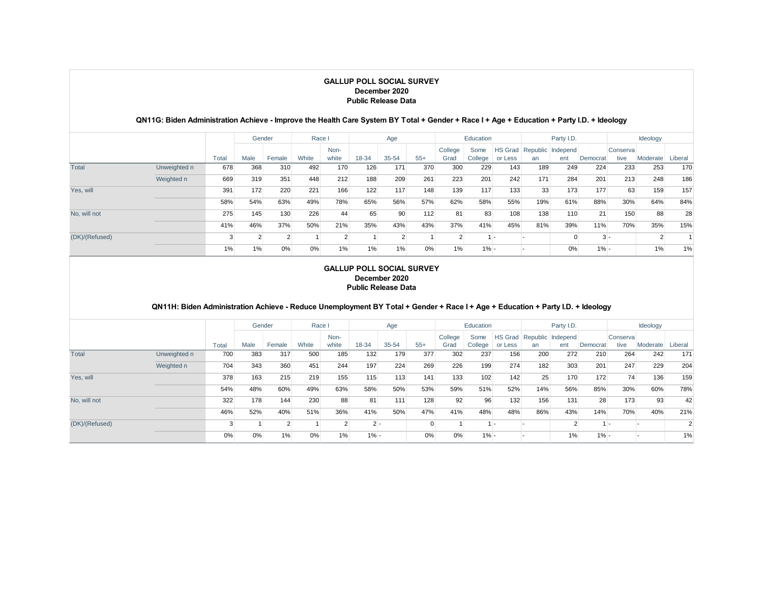### **QN11G: Biden Administration Achieve - Improve the Health Care System BY Total + Gender + Race I + Age + Education + Party I.D. + Ideology**

|                |              |       | Gender         |        | Race I |               |       | Age       |       |         | Education |         |     | Party I.D.                |          |          | Ideology |         |
|----------------|--------------|-------|----------------|--------|--------|---------------|-------|-----------|-------|---------|-----------|---------|-----|---------------------------|----------|----------|----------|---------|
|                |              |       |                |        |        | Non-          |       |           |       | College | Some      |         |     | HS Grad Republic Independ |          | Conserva |          |         |
|                |              | Total | Male           | Female | White  | white         | 18-34 | $35 - 54$ | $55+$ | Grad    | College   | or Less | an  | ent                       | Democrat | tive     | Moderate | Liberal |
| Total          | Unweighted n | 678   | 368            | 310    | 492    | 170           | 126   | 171       | 370   | 300     | 229       | 143     | 189 | 249                       | 224      | 233      | 253      | 170     |
|                | Weighted n   | 669   | 319            | 351    | 448    | 212           | 188   | 209       | 261   | 223     | 201       | 242     | 171 | 284                       | 201      | 213      | 248      | 186     |
| Yes, will      |              | 391   | 172            | 220    | 221    | 166           | 122   | 117       | 148   | 139     | 117       | 133     | 33  | 173                       | 177      | 63       | 159      | 157     |
|                |              | 58%   | 54%            | 63%    | 49%    | 78%           | 65%   | 56%       | 57%   | 62%     | 58%       | 55%     | 19% | 61%                       | 88%      | 30%      | 64%      | 84%     |
| No. will not   |              | 275   | 145            | 130    | 226    | 44            | 65    | 90        | 112   | 81      | 83        | 108     | 138 | 110                       | 21       | 150      | 88       | 28      |
|                |              | 41%   | 46%            | 37%    | 50%    | 21%           | 35%   | 43%       | 43%   | 37%     | 41%       | 45%     | 81% | 39%                       | 11%      | 70%      | 35%      | 15%     |
| (DK)/(Refused) |              |       | $\overline{2}$ | 2      |        | $\mathcal{L}$ |       | C         |       |         |           | . .     |     | 0                         | $3 -$    |          |          |         |
|                |              | 1%    | 1%             | 0%     | 0%     | 1%            | 1%    | 1%        | 0%    | 1%      | $1% -$    |         |     | 0%                        | $1\% -$  |          | 1%       | 1%      |

#### **GALLUP POLL SOCIAL SURVEY December 2020 Public Release Data**

### **QN11H: Biden Administration Achieve - Reduce Unemployment BY Total + Gender + Race I + Age + Education + Party I.D. + Ideology**

|                |              |       | Gender |        | Race I |       |        | Age       |                |         | Education |         |     | Party I.D.                |          |          | Ideology |                |
|----------------|--------------|-------|--------|--------|--------|-------|--------|-----------|----------------|---------|-----------|---------|-----|---------------------------|----------|----------|----------|----------------|
|                |              |       |        |        |        | Non-  |        |           |                | College | Some      |         |     | HS Grad Republic Independ |          | Conserva |          |                |
|                |              | Total | Male   | Female | White  | white | 18-34  | $35 - 54$ | $55+$          | Grad    | College   | or Less | an  | ent                       | Democrat | tive     | Moderate | Liberal        |
| Total          | Unweighted n | 700   | 383    | 317    | 500    | 185   | 132    | 179       | 377            | 302     | 237       | 156     | 200 | 272                       | 210      | 264      | 242      | 171            |
|                | Weighted n   | 704   | 343    | 360    | 451    | 244   | 197    | 224       | 269            | 226     | 199       | 274     | 182 | 303                       | 201      | 247      | 229      | 204            |
| Yes, will      |              | 378   | 163    | 215    | 219    | 155   | 115    | 113       | 141            | 133     | 102       | 142     | 25  | 170                       | 172      | 74       | 136      | 159            |
|                |              | 54%   | 48%    | 60%    | 49%    | 63%   | 58%    | 50%       | 53%            | 59%     | 51%       | 52%     | 14% | 56%                       | 85%      | 30%      | 60%      | 78%            |
| No. will not   |              | 322   | 178    | 144    | 230    | 88    | 81     | 111       | 128            | 92      | 96        | 132     | 156 | 131                       | 28       | 173      | 93       | 42             |
|                |              | 46%   | 52%    | 40%    | 51%    | 36%   | 41%    | 50%       | 47%            | 41%     | 48%       | 48%     | 86% | 43%                       | 14%      | 70%      | 40%      | 21%            |
| (DK)/(Refused) |              |       |        |        |        |       | $2 -$  |           | $\overline{0}$ |         | $1 -$     |         |     | $\overline{2}$            | $1 -$    |          |          | $\overline{2}$ |
|                |              | 0%    | 0%     | 1%     | 0%     | 1%    | $1% -$ |           | 0%             | 0%      | $1% -$    |         |     | 1%                        | $1\% -$  |          |          | 1%             |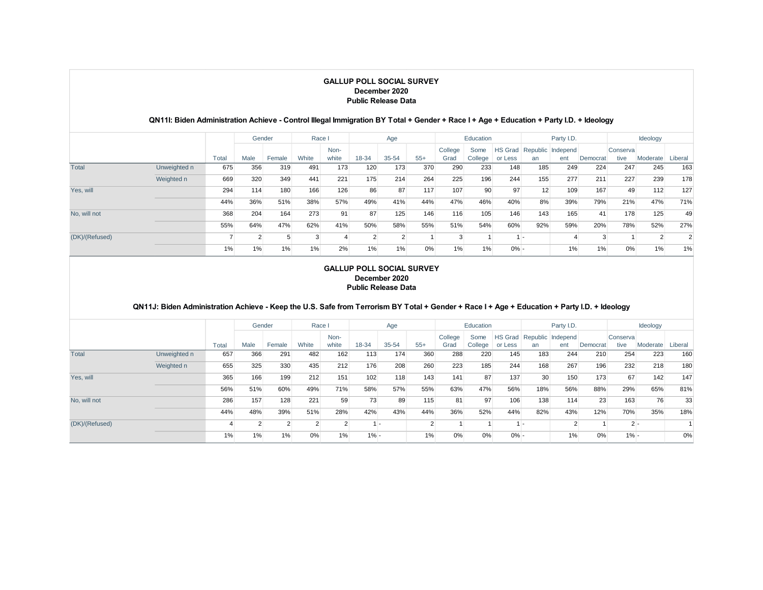#### **QN11I: Biden Administration Achieve - Control Illegal Immigration BY Total + Gender + Race I + Age + Education + Party I.D. + Ideology**

|                |              |       | Gender |        | Race I |       |       | Age            |       |         | Education |         |                | Party I.D.                |          |          | Ideology |                |
|----------------|--------------|-------|--------|--------|--------|-------|-------|----------------|-------|---------|-----------|---------|----------------|---------------------------|----------|----------|----------|----------------|
|                |              |       |        |        |        | Non-  |       |                |       | College | Some      |         |                | HS Grad Republic Independ |          | Conserva |          |                |
|                |              | Total | Male   | Female | White  | white | 18-34 | 35-54          | $55+$ | Grad    | College   | or Less | an             | ent                       | Democrat | tive     | Moderate | Liberal        |
| Total          | Unweighted n | 675   | 356    | 319    | 491    | 173   | 120   | 173            | 370   | 290     | 233       | 148     | 185            | 249                       | 224      | 247      | 245      | 163            |
|                | Weighted n   | 669   | 320    | 349    | 441    | 221   | 175   | 214            | 264   | 225     | 196       | 244     | 155            | 277                       | 211      | 227      | 239      | 178            |
| Yes, will      |              | 294   | 114    | 180    | 166    | 126   | 86    | 87             | 117   | 107     | 90        | 97      | 12             | 109                       | 167      | 49       | 112      | 127            |
|                |              | 44%   | 36%    | 51%    | 38%    | 57%   | 49%   | 41%            | 44%   | 47%     | 46%       | 40%     | 8%             | 39%                       | 79%      | 21%      | 47%      | 71%            |
| No. will not   |              | 368   | 204    | 164    | 273    | 91    | 87    | 125            | 146   | 116     | 105       | 146     | 143            | 165                       | 41       | 178      | 125      | 49             |
|                |              | 55%   | 64%    | 47%    | 62%    | 41%   | 50%   | 58%            | 55%   | 51%     | 54%       | 60%     | 92%            | 59%                       | 20%      | 78%      | 52%      | 27%            |
| (DK)/(Refused) |              |       |        | 5      |        |       | 2     | $\overline{2}$ |       |         |           |         | $\overline{a}$ | 4                         | 3        |          |          | $\overline{2}$ |
|                |              | 1%    | 1%     | $1\%$  | 1%     | 2%    | 1%    | $1\%$          | 0%    | 1%      | 1%        | $0\%$ - |                | 1%                        | 1%       | 0%       | 1%       | 1%             |

#### **GALLUP POLL SOCIAL SURVEY December 2020 Public Release Data**

### **QN11J: Biden Administration Achieve - Keep the U.S. Safe from Terrorism BY Total + Gender + Race I + Age + Education + Party I.D. + Ideology**

|                |              |       |      | Gender         | Race I         |       |        | Age       |          |         | Education |         |     | Party I.D.                |          |          | Ideology |         |
|----------------|--------------|-------|------|----------------|----------------|-------|--------|-----------|----------|---------|-----------|---------|-----|---------------------------|----------|----------|----------|---------|
|                |              |       |      |                |                | Non-  |        |           |          | College | Some      |         |     | HS Grad Republic Independ |          | Conserva |          |         |
|                |              | Total | Male | Female         | White          | white | 18-34  | $35 - 54$ | $55+$    | Grad    | College   | or Less | an  | ent                       | Democrat | tive     | Moderate | Liberal |
| Total          | Unweighted n | 657   | 366  | 291            | 482            | 162   | 113    | 174       | 360      | 288     | 220       | 145     | 183 | 244                       | 210      | 254      | 223      | 160     |
|                | Weighted n   | 655   | 325  | 330            | 435            | 212   | 176    | 208       | 260      | 223     | 185       | 244     | 168 | 267                       | 196      | 232      | 218      | 180     |
| Yes, will      |              | 365   | 166  | 199            | 212            | 151   | 102    | 118       | 143      | 141     | 87        | 137     | 30  | 150                       | 173      | 67       | 142      | 147     |
|                |              | 56%   | 51%  | 60%            | 49%            | 71%   | 58%    | 57%       | 55%      | 63%     | 47%       | 56%     | 18% | 56%                       | 88%      | 29%      | 65%      | 81%     |
| No. will not   |              | 286   | 157  | 128            | 221            | 59    | 73     | 89        | 115      | 81      | 97        | 106     | 138 | 114                       | 23       | 163      | 76       | 33      |
|                |              | 44%   | 48%  | 39%            | 51%            | 28%   | 42%    | 43%       | 44%      | 36%     | 52%       | 44%     | 82% | 43%                       | 12%      | 70%      | 35%      | 18%     |
| (DK)/(Refused) |              |       |      | $\overline{2}$ | $\overline{2}$ |       | $1 -$  |           | $\Omega$ |         |           |         | . . |                           |          |          | $2 -$    |         |
|                |              | 1%    | 1%   | 1%             | 0%             | 1%    | $1% -$ |           | 1%       | 0%      | 0%        | $0\%$ - |     | 1%                        | 0%       | $1\% -$  |          | 0%      |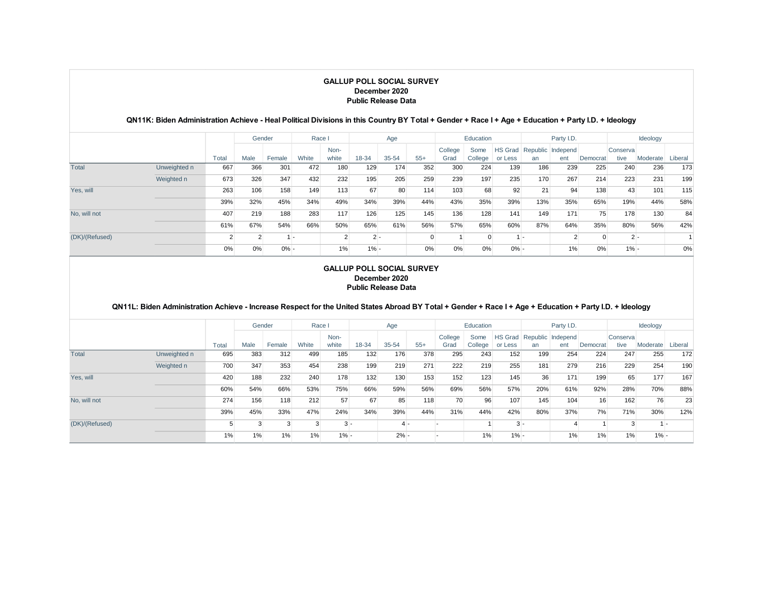### **QN11K: Biden Administration Achieve - Heal Political Divisions in this Country BY Total + Gender + Race I + Age + Education + Party I.D. + Ideology**

|                |              |       | Gender         |         | Race I |               |        | Age       |       |         | Education |         |     | Party I.D.                |                |          | Ideology |         |
|----------------|--------------|-------|----------------|---------|--------|---------------|--------|-----------|-------|---------|-----------|---------|-----|---------------------------|----------------|----------|----------|---------|
|                |              |       |                |         |        | Non-          |        |           |       | College | Some      |         |     | HS Grad Republic Independ |                | Conserva |          |         |
|                |              | Total | Male           | Female  | White  | white         | 18-34  | $35 - 54$ | $55+$ | Grad    | College   | or Less | an  | ent                       | Democrat       | tive     | Moderate | Liberal |
| Total          | Unweighted n | 667   | 366            | 301     | 472    | 180           | 129    | 174       | 352   | 300     | 224       | 139     | 186 | 239                       | 225            | 240      | 236      | 173     |
|                | Weighted n   | 673   | 326            | 347     | 432    | 232           | 195    | 205       | 259   | 239     | 197       | 235     | 170 | 267                       | 214            | 223      | 231      | 199     |
| Yes, will      |              | 263   | 106            | 158     | 149    | 113           | 67     | 80        | 114   | 103     | 68        | 92      | 21  | 94                        | 138            | 43       | 101      | 115     |
|                |              | 39%   | 32%            | 45%     | 34%    | 49%           | 34%    | 39%       | 44%   | 43%     | 35%       | 39%     | 13% | 35%                       | 65%            | 19%      | 44%      | 58%     |
| No. will not   |              | 407   | 219            | 188     | 283    | 117           | 126    | 125       | 145   | 136     | 128       | 141     | 149 | 171                       | 75             | 178      | 130      | 84      |
|                |              | 61%   | 67%            | 54%     | 66%    | 50%           | 65%    | 61%       | 56%   | 57%     | 65%       | 60%     | 87% | 64%                       | 35%            | 80%      | 56%      | 42%     |
| (DK)/(Refused) |              |       | $\overline{2}$ |         | . .    | $\mathcal{L}$ | $2 -$  |           | 0     |         | 0         |         | . . | $\overline{2}$            | $\overline{0}$ | $2 -$    |          |         |
|                |              | 0%    | 0%             | $0\% -$ |        | 1%            | $1% -$ |           | 0%    | 0%      | 0%        | $0\% -$ |     | 1%                        | 0%             | $1% -$   |          | 0%      |

#### **GALLUP POLL SOCIAL SURVEY December 2020 Public Release Data**

### **QN11L: Biden Administration Achieve - Increase Respect for the United States Abroad BY Total + Gender + Race I + Age + Education + Party I.D. + Ideology**

|                |              |       | Gender |        | Race I |               |       | Age    |       |                 | Education       |         |                                 | Party I.D. |          |                  | Ideology |         |
|----------------|--------------|-------|--------|--------|--------|---------------|-------|--------|-------|-----------------|-----------------|---------|---------------------------------|------------|----------|------------------|----------|---------|
|                |              | Total | Male   | Female | White  | Non-<br>white | 18-34 | 35-54  | $55+$ | College<br>Grad | Some<br>College | or Less | HS Grad Republic Independ<br>an | ent        | Democrat | Conserva<br>tive | Moderate | Liberal |
| Total          | Unweighted n | 695   | 383    | 312    | 499    | 185           | 132   | 176    | 378   | 295             | 243             | 152     | 199                             | 254        | 224      | 247              | 255      | 172     |
|                | Weighted n   | 700   | 347    | 353    | 454    | 238           | 199   | 219    | 271   | 222             | 219             | 255     | 181                             | 279        | 216      | 229              | 254      | 190     |
| Yes, will      |              | 420   | 188    | 232    | 240    | 178           | 132   | 130    | 153   | 152             | 123             | 145     | 36                              | 171        | 199      | 65               | 177      | 167     |
|                |              | 60%   | 54%    | 66%    | 53%    | 75%           | 66%   | 59%    | 56%   | 69%             | 56%             | 57%     | 20%                             | 61%        | 92%      | 28%              | 70%      | 88%     |
| No. will not   |              | 274   | 156    | 118    | 212    | 57            | 67    | 85     | 118   | 70              | 96              | 107     | 145                             | 104        | 16       | 162              | 76       | 23      |
|                |              | 39%   | 45%    | 33%    | 47%    | 24%           | 34%   | 39%    | 44%   | 31%             | 44%             | 42%     | 80%                             | 37%        | 7%       | 71%              | 30%      | 12%     |
| (DK)/(Refused) |              |       |        | 3      | 3      | $3 -$         |       | $4 -$  |       |                 |                 | $3 -$   |                                 | 4          |          | 3                |          | ۰.      |
|                |              | 1%    | 1%     | 1%     | 1%     | $1% -$        |       | $2% -$ |       |                 | 1%              | $1\% -$ |                                 | 1%         | 1%       | 1%               | $1% -$   |         |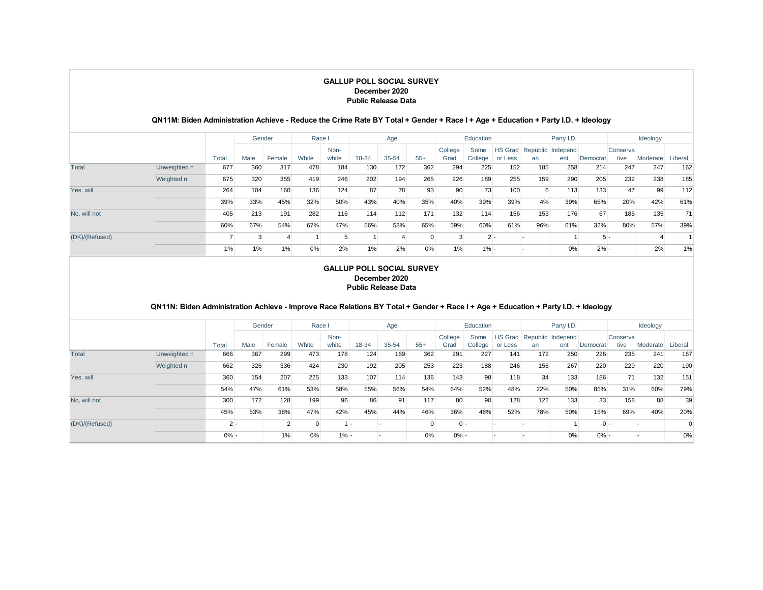#### **QN11M: Biden Administration Achieve - Reduce the Crime Rate BY Total + Gender + Race I + Age + Education + Party I.D. + Ideology**

|                |              |       | Gender |        | Race I |       |       | Age   |       |         | Education |         |     | Party I.D.                |          |          | Ideology |         |
|----------------|--------------|-------|--------|--------|--------|-------|-------|-------|-------|---------|-----------|---------|-----|---------------------------|----------|----------|----------|---------|
|                |              |       |        |        |        | Non-  |       |       |       | College | Some      |         |     | HS Grad Republic Independ |          | Conserva |          |         |
|                |              | Total | Male   | Female | White  | white | 18-34 | 35-54 | $55+$ | Grad    | College   | or Less | an  | ent                       | Democrat | tive     | Moderate | Liberal |
| Total          | Unweighted n | 677   | 360    | 317    | 478    | 184   | 130   | 172   | 362   | 294     | 225       | 152     | 185 | 258                       | 214      | 247      | 247      | 162     |
|                | Weighted n   | 675   | 320    | 355    | 419    | 246   | 202   | 194   | 265   | 226     | 189       | 255     | 159 | 290                       | 205      | 232      | 238      | 185     |
| Yes, will      |              | 264   | 104    | 160    | 136    | 124   | 87    | 78    | 93    | 90      | 73        | 100     | 6   | 113                       | 133      | 47       | 99       | 112     |
|                |              | 39%   | 33%    | 45%    | 32%    | 50%   | 43%   | 40%   | 35%   | 40%     | 39%       | 39%     | 4%  | 39%                       | 65%      | 20%      | 42%      | 61%     |
| No. will not   |              | 405   | 213    | 191    | 282    | 116   | 114   | 112   | 171   | 132     | 114       | 156     | 153 | 176                       | 67       | 185      | 135      | 71      |
|                |              | 60%   | 67%    | 54%    | 67%    | 47%   | 56%   | 58%   | 65%   | 59%     | 60%       | 61%     | 96% | 61%                       | 32%      | 80%      | 57%      | 39%     |
| (DK)/(Refused) |              |       | 3      | 4      |        | 5     |       |       |       |         | $2 -$     |         |     |                           | $5 -$    |          |          |         |
|                |              | 1%    | 1%     | $1\%$  | 0%     | 2%    | 1%    | 2%    | 0%    | 1%      | $1\% -$   |         |     | 0%                        | $2% -$   |          | 2%       | 1%      |

#### **GALLUP POLL SOCIAL SURVEY December 2020 Public Release Data**

### **QN11N: Biden Administration Achieve - Improve Race Relations BY Total + Gender + Race I + Age + Education + Party I.D. + Ideology**

|                |              |         | Gender |        | Race I   |         |       | Age       |                |         | Education |         |     | Party I.D.                |          |          | Ideology |                |
|----------------|--------------|---------|--------|--------|----------|---------|-------|-----------|----------------|---------|-----------|---------|-----|---------------------------|----------|----------|----------|----------------|
|                |              |         |        |        |          | Non-    |       |           |                | College | Some      |         |     | HS Grad Republic Independ |          | Conserva |          |                |
|                |              | Total   | Male   | Female | White    | white   | 18-34 | $35 - 54$ | $55+$          | Grad    | College   | or Less | an  | ent                       | Democrat | tive     | Moderate | Liberal        |
| Total          | Unweighted n | 666     | 367    | 299    | 473      | 178     | 124   | 169       | 362            | 291     | 227       | 141     | 172 | 250                       | 226      | 235      | 241      | 167            |
|                | Weighted n   | 662     | 326    | 336    | 424      | 230     | 192   | 205       | 253            | 223     | 188       | 246     | 156 | 267                       | 220      | 229      | 220      | 190            |
| Yes, will      |              | 360     | 154    | 207    | 225      | 133     | 107   | 114       | 136            | 143     | 98        | 118     | 34  | 133                       | 186      | 71       | 132      | 151            |
|                |              | 54%     | 47%    | 61%    | 53%      | 58%     | 55%   | 56%       | 54%            | 64%     | 52%       | 48%     | 22% | 50%                       | 85%      | 31%      | 60%      | 79%            |
| No. will not   |              | 300     | 172    | 128    | 199      | 96      | 86    | 91        | 117            | 80      | 90        | 128     | 122 | 133                       | 33       | 158      | 88       | 39             |
|                |              | 45%     | 53%    | 38%    | 47%      | 42%     | 45%   | 44%       | 46%            | 36%     | 48%       | 52%     | 78% | 50%                       | 15%      | 69%      | 40%      | 20%            |
| (DK)/(Refused) |              | $2 -$   |        |        | $\Omega$ | $1 -$   |       |           | $\overline{0}$ | $0 -$   |           |         |     |                           | $0 -$    |          |          | $\overline{0}$ |
|                |              | $0\%$ - |        | 1%     | 0%       | $1\% -$ |       |           | 0%             | $0% -$  |           |         |     | 0%                        | $0\% -$  |          |          | $0\%$          |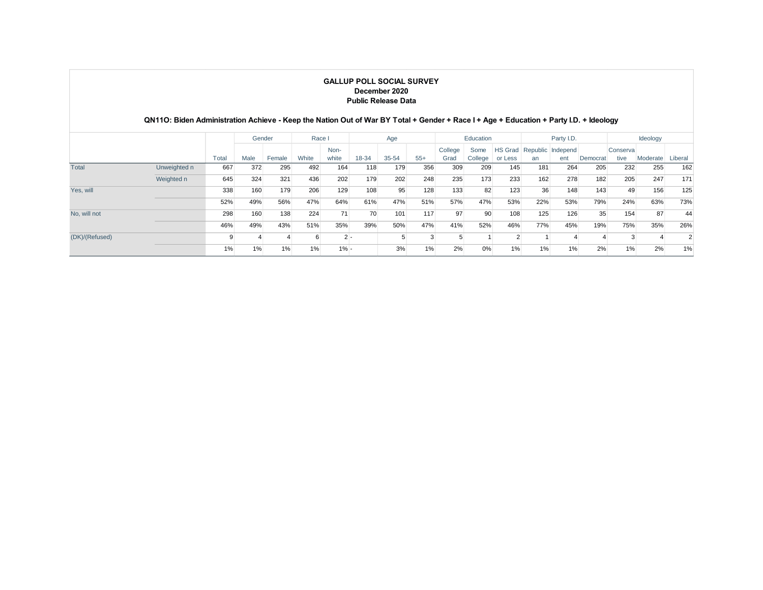|                | QN11O: Biden Administration Achieve - Keep the Nation Out of War BY Total + Gender + Race I + Age + Education + Party I.D. + Ideology |       |        |        |        |               | <b>GALLUP POLL SOCIAL SURVEY</b><br><b>Public Release Data</b> | December 2020 |       |                 |                 |                    |     |                          |          |                   |          |                |
|----------------|---------------------------------------------------------------------------------------------------------------------------------------|-------|--------|--------|--------|---------------|----------------------------------------------------------------|---------------|-------|-----------------|-----------------|--------------------|-----|--------------------------|----------|-------------------|----------|----------------|
|                |                                                                                                                                       |       | Gender |        | Race I |               |                                                                | Age           |       |                 | Education       |                    |     | Party I.D.               |          |                   | Ideology |                |
|                |                                                                                                                                       | Total | Male   | Female | White  | Non-<br>white | 18-34                                                          | $35 - 54$     | $55+$ | College<br>Grad | Some<br>College | HS Grad<br>or Less | an  | Republic Independ<br>ent | Democrat | Conserval<br>tive | Moderate | Liberal        |
| Total          | Unweighted n                                                                                                                          | 667   | 372    | 295    | 492    | 164           | 118                                                            | 179           | 356   | 309             | 209             | 145                | 181 | 264                      | 205      | 232               | 255      | 162            |
|                | Weighted n                                                                                                                            | 645   | 324    | 321    | 436    | 202           | 179                                                            | 202           | 248   | 235             | 173             | 233                | 162 | 278                      | 182      | 205               | 247      | 171            |
| Yes, will      |                                                                                                                                       | 338   | 160    | 179    | 206    | 129           | 108                                                            | 95            | 128   | 133             | 82              | 123                | 36  | 148                      | 143      | 49                | 156      | 125            |
|                |                                                                                                                                       | 52%   | 49%    | 56%    | 47%    | 64%           | 61%                                                            | 47%           | 51%   | 57%             | 47%             | 53%                | 22% | 53%                      | 79%      | 24%               | 63%      | 73%            |
| No, will not   |                                                                                                                                       | 298   | 160    | 138    | 224    | 71            | 70                                                             | 101           | 117   | 97              | 90              | 108                | 125 | 126                      | 35       | 154               | 87       | 44             |
|                |                                                                                                                                       | 46%   | 49%    | 43%    | 51%    | 35%           | 39%                                                            | 50%           | 47%   | 41%             | 52%             | 46%                | 77% | 45%                      | 19%      | 75%               | 35%      | 26%            |
| (DK)/(Refused) |                                                                                                                                       | 9     |        |        | 6      | $2 -$         |                                                                | 5             | 3     |                 |                 | $\overline{2}$     |     | $\overline{4}$           |          | 3                 |          | $\overline{2}$ |
|                |                                                                                                                                       | 1%    | 1%     | 1%     | 1%     | $1\% -$       |                                                                | 3%            | 1%    | 2%              | 0%              | 1%                 | 1%  | 1%                       | 2%       | 1%                | 2%       | 1%             |